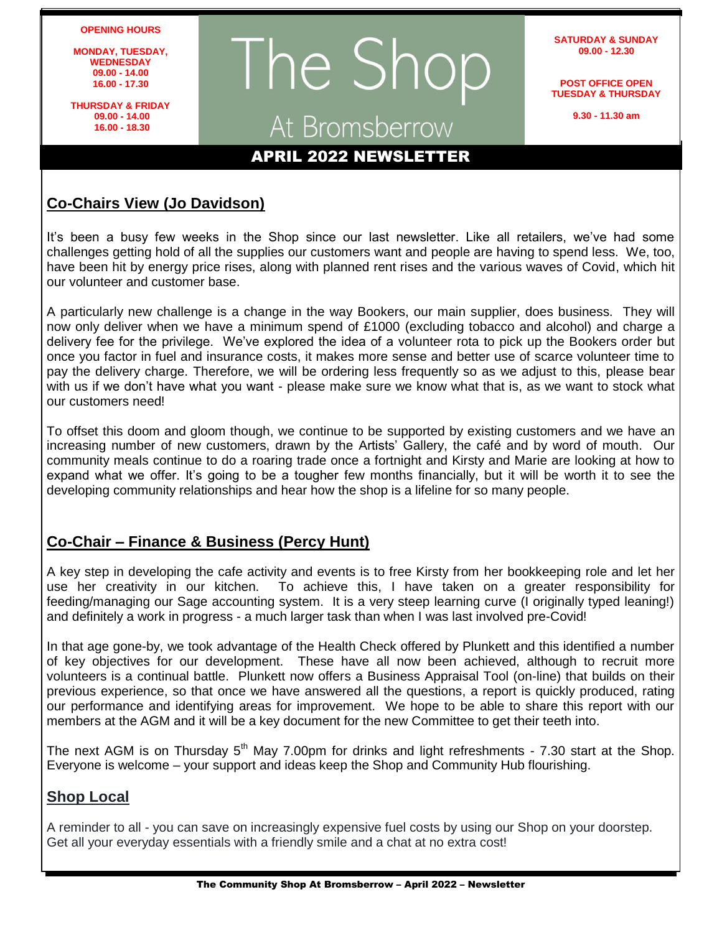#### **OPENING HOURS**

**MONDAY, TUESDAY, WEDNESDAY 09.00 - 14.00 16.00 - 17.30**

**THURSDAY & FRIDAY 09.00 - 14.00 16.00 - 18.30**

# The Shop At Bromsberrow<br> **APRIL 2022 NEWSLETTER**

**SATURDAY & SUNDAY 09.00 - 12.30**

**POST OFFICE OPEN TUESDAY & THURSDAY**

**9.30 - 11.30 am**

#### **Co-Chairs View (Jo Davidson)**

It's been a busy few weeks in the Shop since our last newsletter. Like all retailers, we've had some challenges getting hold of all the supplies our customers want and people are having to spend less. We, too, have been hit by energy price rises, along with planned rent rises and the various waves of Covid, which hit our volunteer and customer base.

A particularly new challenge is a change in the way Bookers, our main supplier, does business. They will now only deliver when we have a minimum spend of £1000 (excluding tobacco and alcohol) and charge a delivery fee for the privilege. We've explored the idea of a volunteer rota to pick up the Bookers order but once you factor in fuel and insurance costs, it makes more sense and better use of scarce volunteer time to pay the delivery charge. Therefore, we will be ordering less frequently so as we adjust to this, please bear with us if we don't have what you want - please make sure we know what that is, as we want to stock what our customers need!

To offset this doom and gloom though, we continue to be supported by existing customers and we have an increasing number of new customers, drawn by the Artists' Gallery, the café and by word of mouth. Our community meals continue to do a roaring trade once a fortnight and Kirsty and Marie are looking at how to expand what we offer. It's going to be a tougher few months financially, but it will be worth it to see the developing community relationships and hear how the shop is a lifeline for so many people.

#### **Co-Chair – Finance & Business (Percy Hunt)**

A key step in developing the cafe activity and events is to free Kirsty from her bookkeeping role and let her use her creativity in our kitchen. To achieve this, I have taken on a greater responsibility for feeding/managing our Sage accounting system. It is a very steep learning curve (I originally typed leaning!) and definitely a work in progress - a much larger task than when I was last involved pre-Covid!

In that age gone-by, we took advantage of the Health Check offered by Plunkett and this identified a number of key objectives for our development. These have all now been achieved, although to recruit more volunteers is a continual battle. Plunkett now offers a Business Appraisal Tool (on-line) that builds on their previous experience, so that once we have answered all the questions, a report is quickly produced, rating our performance and identifying areas for improvement. We hope to be able to share this report with our members at the AGM and it will be a key document for the new Committee to get their teeth into.

The next AGM is on Thursday  $5<sup>th</sup>$  May 7.00pm for drinks and light refreshments - 7.30 start at the Shop. Everyone is welcome – your support and ideas keep the Shop and Community Hub flourishing.

#### **Shop Local**

A reminder to all - you can save on increasingly expensive fuel costs by using our Shop on your doorstep. Get all your everyday essentials with a friendly smile and a chat at no extra cost!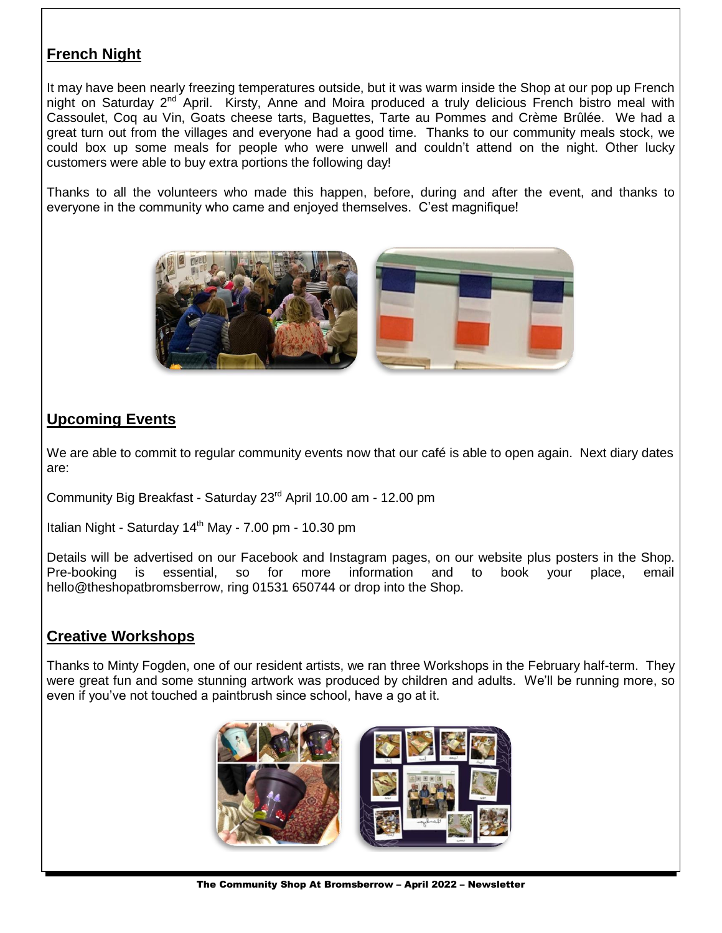### **French Night**

It may have been nearly freezing temperatures outside, but it was warm inside the Shop at our pop up French night on Saturday 2<sup>nd</sup> April. Kirsty, Anne and Moira produced a truly delicious French bistro meal with Cassoulet, Coq au Vin, Goats cheese tarts, Baguettes, Tarte au Pommes and Crème Brûlée. We had a great turn out from the villages and everyone had a good time. Thanks to our community meals stock, we could box up some meals for people who were unwell and couldn't attend on the night. Other lucky customers were able to buy extra portions the following day!

Thanks to all the volunteers who made this happen, before, during and after the event, and thanks to everyone in the community who came and enjoyed themselves. C'est magnifique!



#### **Upcoming Events**

We are able to commit to regular community events now that our café is able to open again. Next diary dates are:

Community Big Breakfast - Saturday 23rd April 10.00 am - 12.00 pm

Italian Night - Saturday  $14<sup>th</sup>$  May - 7.00 pm - 10.30 pm

Details will be advertised on our Facebook and Instagram pages, on our website plus posters in the Shop. Pre-booking is essential, so for more information and to book your place, email hello@theshopatbromsberrow, ring 01531 650744 or drop into the Shop.

#### **Creative Workshops**

Thanks to Minty Fogden, one of our resident artists, we ran three Workshops in the February half-term. They were great fun and some stunning artwork was produced by children and adults. We'll be running more, so even if you've not touched a paintbrush since school, have a go at it.

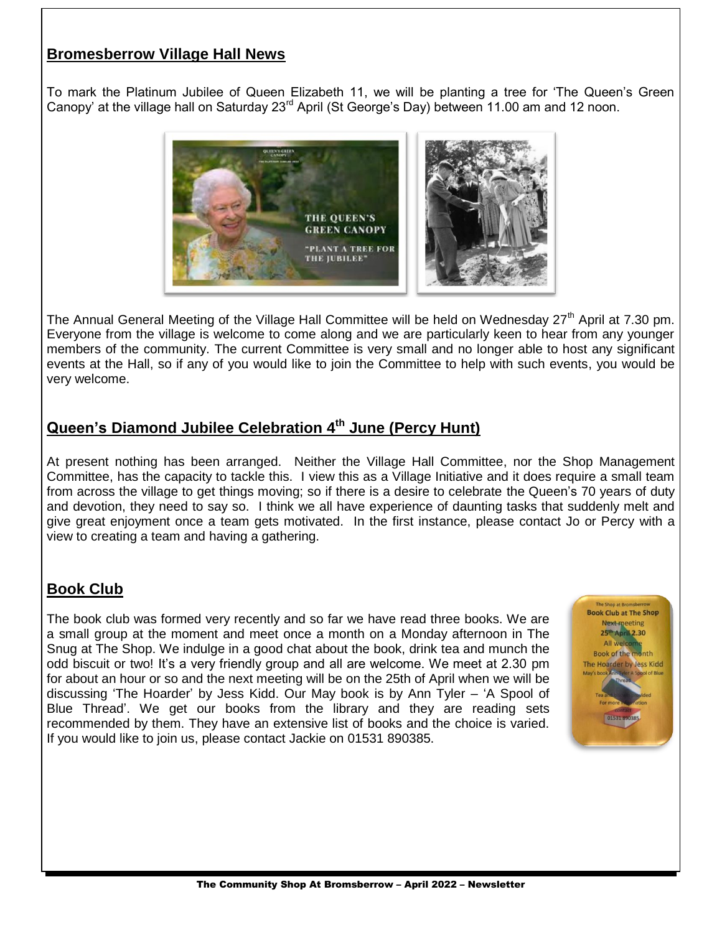#### **Bromesberrow Village Hall News**

To mark the Platinum Jubilee of Queen Elizabeth 11, we will be planting a tree for 'The Queen's Green Canopy' at the village hall on Saturday 23rd April (St George's Day) between 11.00 am and 12 noon.



The Annual General Meeting of the Village Hall Committee will be held on Wednesday  $27<sup>th</sup>$  April at 7.30 pm. Everyone from the village is welcome to come along and we are particularly keen to hear from any younger members of the community. The current Committee is very small and no longer able to host any significant events at the Hall, so if any of you would like to join the Committee to help with such events, you would be very welcome.

#### **Queen's Diamond Jubilee Celebration 4th June (Percy Hunt)**

At present nothing has been arranged. Neither the Village Hall Committee, nor the Shop Management Committee, has the capacity to tackle this. I view this as a Village Initiative and it does require a small team from across the village to get things moving; so if there is a desire to celebrate the Queen's 70 years of duty and devotion, they need to say so. I think we all have experience of daunting tasks that suddenly melt and give great enjoyment once a team gets motivated. In the first instance, please contact Jo or Percy with a view to creating a team and having a gathering.

#### **Book Club**

The book club was formed very recently and so far we have read three books. We are a small group at the moment and meet once a month on a Monday afternoon in The Snug at The Shop. We indulge in a good chat about the book, drink tea and munch the odd biscuit or two! It's a very friendly group and all are welcome. We meet at 2.30 pm for about an hour or so and the next meeting will be on the 25th of April when we will be discussing 'The Hoarder' by Jess Kidd. Our May book is by Ann Tyler – 'A Spool of Blue Thread'. We get our books from the library and they are reading sets recommended by them. They have an extensive list of books and the choice is varied. If you would like to join us, please contact Jackie on 01531 890385.